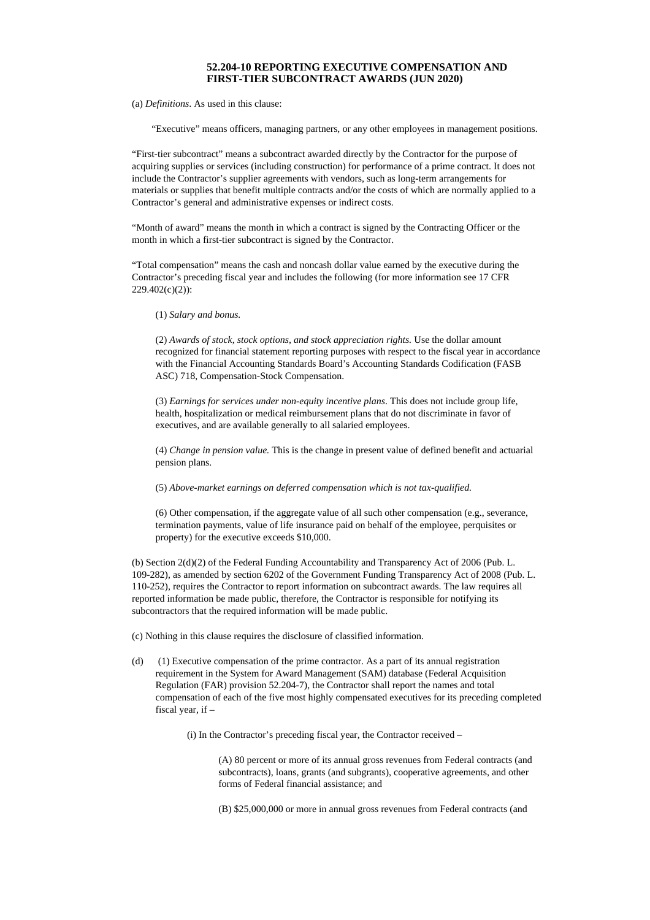## **52.204-10 REPORTING EXECUTIVE COMPENSATION AND FIRST-TIER SUBCONTRACT AWARDS (JUN 2020)**

(a) *Definitions*. As used in this clause:

"Executive" means officers, managing partners, or any other employees in management positions.

"First-tier subcontract" means a subcontract awarded directly by the Contractor for the purpose of acquiring supplies or services (including construction) for performance of a prime contract. It does not include the Contractor's supplier agreements with vendors, such as long-term arrangements for materials or supplies that benefit multiple contracts and/or the costs of which are normally applied to a Contractor's general and administrative expenses or indirect costs.

"Month of award" means the month in which a contract is signed by the Contracting Officer or the month in which a first-tier subcontract is signed by the Contractor.

"Total compensation" means the cash and noncash dollar value earned by the executive during the Contractor's preceding fiscal year and includes the following (for more information see 17 CFR 229.402(c)(2)):

(1) *Salary and bonus.*

(2) *Awards of stock, stock options, and stock appreciation rights.* Use the dollar amount recognized for financial statement reporting purposes with respect to the fiscal year in accordance with the Financial Accounting Standards Board's Accounting Standards Codification (FASB ASC) 718, Compensation-Stock Compensation.

(3) *Earnings for services under non-equity incentive plans*. This does not include group life, health, hospitalization or medical reimbursement plans that do not discriminate in favor of executives, and are available generally to all salaried employees.

(4) *Change in pension value.* This is the change in present value of defined benefit and actuarial pension plans.

(5) *Above-market earnings on deferred compensation which is not tax-qualified.*

(6) Other compensation, if the aggregate value of all such other compensation (e.g., severance, termination payments, value of life insurance paid on behalf of the employee, perquisites or property) for the executive exceeds \$10,000.

(b) Section 2(d)(2) of the Federal Funding Accountability and Transparency Act of 2006 (Pub. L. 109-282), as amended by section 6202 of the Government Funding Transparency Act of 2008 (Pub. L. 110-252), requires the Contractor to report information on subcontract awards. The law requires all reported information be made public, therefore, the Contractor is responsible for notifying its subcontractors that the required information will be made public.

(c) Nothing in this clause requires the disclosure of classified information.

(d) (1) Executive compensation of the prime contractor. As a part of its annual registration requirement in the System for Award Management (SAM) database (Federal Acquisition Regulation (FAR) provision 52.204-7), the Contractor shall report the names and total compensation of each of the five most highly compensated executives for its preceding completed fiscal year, if –

(i) In the Contractor's preceding fiscal year, the Contractor received –

(A) 80 percent or more of its annual gross revenues from Federal contracts (and subcontracts), loans, grants (and subgrants), cooperative agreements, and other forms of Federal financial assistance; and

(B) \$25,000,000 or more in annual gross revenues from Federal contracts (and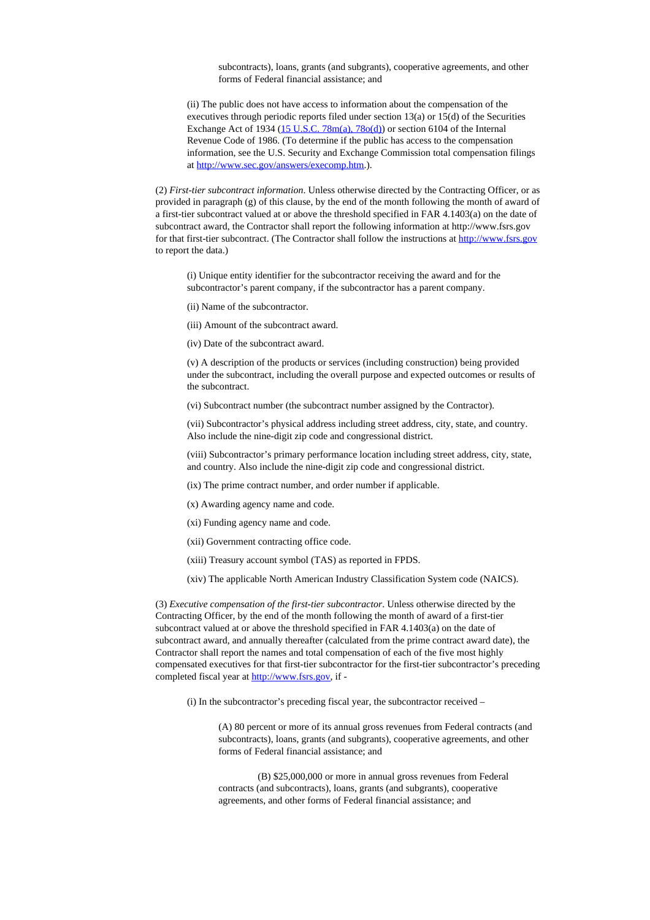subcontracts), loans, grants (and subgrants), cooperative agreements, and other forms of Federal financial assistance; and

(ii) The public does not have access to information about the compensation of the executives through periodic reports filed under section 13(a) or 15(d) of the Securities Exchange Act of 1934 ( $15$  U.S.C. [78m\(a\),](http://uscode.house.gov/lawrevisioncounsel.shtml) 78o(d)) or section 6104 of the Internal Revenue Code of 1986. (To determine if the public has access to the compensation information, see the U.S. Security and Exchange Commission total compensation filings at <http://www.sec.gov/answers/execomp.htm>.).

(2) *First-tier subcontract information*. Unless otherwise directed by the Contracting Officer, or as provided in paragraph  $(g)$  of this clause, by the end of the month following the month of award of a first-tier subcontract valued at or above the threshold specified in FAR 4.1403(a) on the date of subcontract award, the Contractor shall report the following information at http://www.fsrs.gov for that first-tier subcontract. (The Contractor shall follow the instructions at [http://www.fsrs.gov](http://www.fsrs.gov/) to report the data.)

(i) Unique entity identifier for the subcontractor receiving the award and for the subcontractor's parent company, if the subcontractor has a parent company.

- (ii) Name of the subcontractor.
- (iii) Amount of the subcontract award.
- (iv) Date of the subcontract award.

(v) A description of the products or services (including construction) being provided under the subcontract, including the overall purpose and expected outcomes or results of the subcontract.

(vi) Subcontract number (the subcontract number assigned by the Contractor).

(vii) Subcontractor's physical address including street address, city, state, and country. Also include the nine-digit zip code and congressional district.

(viii) Subcontractor's primary performance location including street address, city, state, and country. Also include the nine-digit zip code and congressional district.

- (ix) The prime contract number, and order number if applicable.
- (x) Awarding agency name and code.
- (xi) Funding agency name and code.
- (xii) Government contracting office code.
- (xiii) Treasury account symbol (TAS) as reported in FPDS.
- (xiv) The applicable North American Industry Classification System code (NAICS).

(3) *Executive compensation of the first-tier subcontractor*. Unless otherwise directed by the Contracting Officer, by the end of the month following the month of award of a first-tier subcontract valued at or above the threshold specified in FAR 4.1403(a) on the date of subcontract award, and annually thereafter (calculated from the prime contract award date), the Contractor shall report the names and total compensation of each of the five most highly compensated executives for that first-tier subcontractor for the first-tier subcontractor's preceding completed fiscal year at [http://www.fsrs.gov](http://www.fsrs.gov/), if -

(i) In the subcontractor's preceding fiscal year, the subcontractor received –

(A) 80 percent or more of its annual gross revenues from Federal contracts (and subcontracts), loans, grants (and subgrants), cooperative agreements, and other forms of Federal financial assistance; and

(B) \$25,000,000 or more in annual gross revenues from Federal contracts (and subcontracts), loans, grants (and subgrants), cooperative agreements, and other forms of Federal financial assistance; and